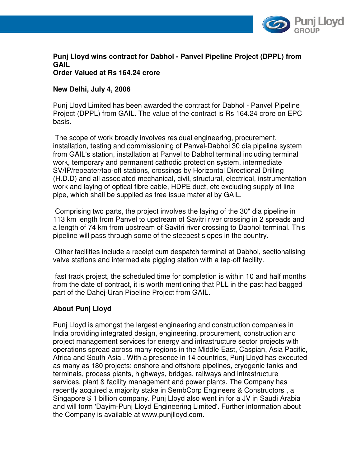

#### **Punj Lloyd wins contract for Dabhol - Panvel Pipeline Project (DPPL) from GAIL Order Valued at Rs 164.24 crore**

# **New Delhi, July 4, 2006**

Punj Lloyd Limited has been awarded the contract for Dabhol - Panvel Pipeline Project (DPPL) from GAIL. The value of the contract is Rs 164.24 crore on EPC basis.

 The scope of work broadly involves residual engineering, procurement, installation, testing and commissioning of Panvel-Dabhol 30 dia pipeline system from GAIL's station, installation at Panvel to Dabhol terminal including terminal work, temporary and permanent cathodic protection system, intermediate SV/IP/repeater/tap-off stations, crossings by Horizontal Directional Drilling (H.D.D) and all associated mechanical, civil, structural, electrical, instrumentation work and laying of optical fibre cable, HDPE duct, etc excluding supply of line pipe, which shall be supplied as free issue material by GAIL.

 Comprising two parts, the project involves the laying of the 30" dia pipeline in 113 km length from Panvel to upstream of Savitri river crossing in 2 spreads and a length of 74 km from upstream of Savitri river crossing to Dabhol terminal. This pipeline will pass through some of the steepest slopes in the country.

 Other facilities include a receipt cum despatch terminal at Dabhol, sectionalising valve stations and intermediate pigging station with a tap-off facility.

 fast track project, the scheduled time for completion is within 10 and half months from the date of contract, it is worth mentioning that PLL in the past had bagged part of the Dahej-Uran Pipeline Project from GAIL.

### **About Punj Lloyd**

Punj Lloyd is amongst the largest engineering and construction companies in India providing integrated design, engineering, procurement, construction and project management services for energy and infrastructure sector projects with operations spread across many regions in the Middle East, Caspian, Asia Pacific, Africa and South Asia . With a presence in 14 countries, Punj Lloyd has executed as many as 180 projects: onshore and offshore pipelines, cryogenic tanks and terminals, process plants, highways, bridges, railways and infrastructure services, plant & facility management and power plants. The Company has recently acquired a majority stake in SembCorp Engineers & Constructors , a Singapore \$ 1 billion company. Punj Lloyd also went in for a JV in Saudi Arabia and will form 'Dayim-Punj Lloyd Engineering Limited'. Further information about the Company is available at www.punjlloyd.com.